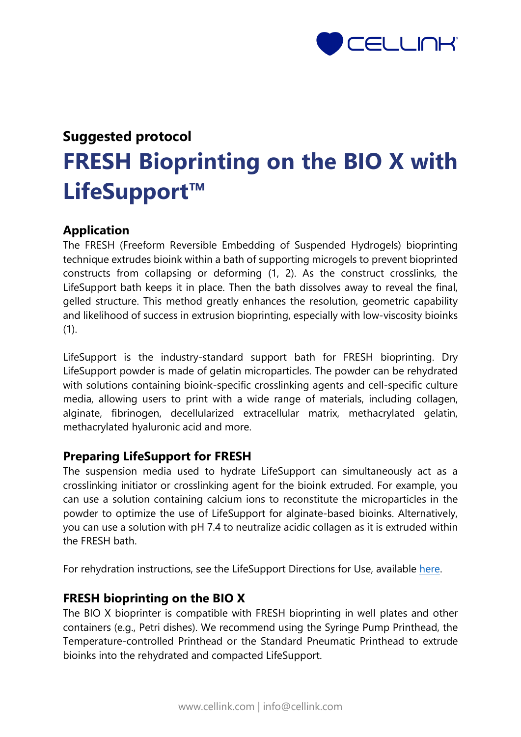

# **Suggested protocol FRESH Bioprinting on the BIO X with LifeSupport™**

## **Application**

The FRESH (Freeform Reversible Embedding of Suspended Hydrogels) bioprinting technique extrudes bioink within a bath of supporting microgels to prevent bioprinted constructs from collapsing or deforming (1, 2). As the construct crosslinks, the LifeSupport bath keeps it in place. Then the bath dissolves away to reveal the final, gelled structure. This method greatly enhances the resolution, geometric capability and likelihood of success in extrusion bioprinting, especially with low-viscosity bioinks (1).

LifeSupport is the industry-standard support bath for FRESH bioprinting. Dry LifeSupport powder is made of gelatin microparticles. The powder can be rehydrated with solutions containing bioink-specific crosslinking agents and cell-specific culture media, allowing users to print with a wide range of materials, including collagen, alginate, fibrinogen, decellularized extracellular matrix, methacrylated gelatin, methacrylated hyaluronic acid and more.

## **Preparing LifeSupport for FRESH**

The suspension media used to hydrate LifeSupport can simultaneously act as a crosslinking initiator or crosslinking agent for the bioink extruded. For example, you can use a solution containing calcium ions to reconstitute the microparticles in the powder to optimize the use of LifeSupport for alginate-based bioinks. Alternatively, you can use a solution with pH 7.4 to neutralize acidic collagen as it is extruded within the FRESH bath.

For rehydration instructions, see the LifeSupport Directions for Use, available [here.](https://www.fluidform3d.com/directions-for-use)

### **FRESH bioprinting on the BIO X**

The BIO X bioprinter is compatible with FRESH bioprinting in well plates and other containers (e.g., Petri dishes). We recommend using the Syringe Pump Printhead, the Temperature-controlled Printhead or the Standard Pneumatic Printhead to extrude bioinks into the rehydrated and compacted LifeSupport.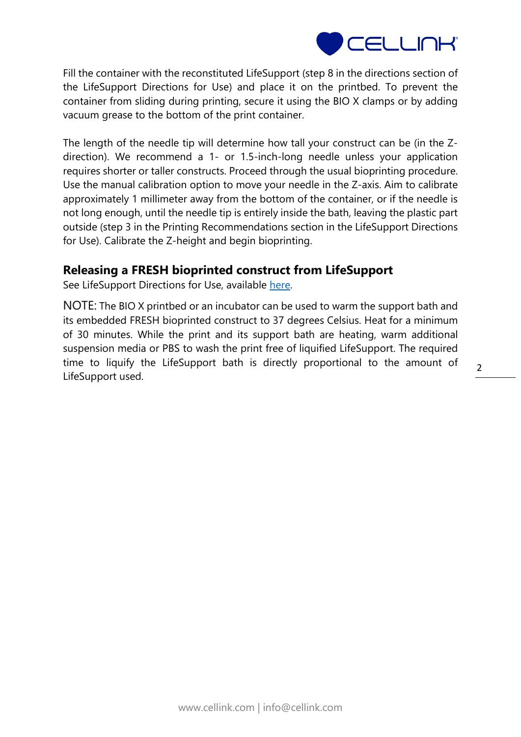

Fill the container with the reconstituted LifeSupport (step 8 in the directions section of the LifeSupport Directions for Use) and place it on the printbed. To prevent the container from sliding during printing, secure it using the BIO X clamps or by adding vacuum grease to the bottom of the print container.

The length of the needle tip will determine how tall your construct can be (in the Zdirection). We recommend a 1- or 1.5-inch-long needle unless your application requires shorter or taller constructs. Proceed through the usual bioprinting procedure. Use the manual calibration option to move your needle in the Z-axis. Aim to calibrate approximately 1 millimeter away from the bottom of the container, or if the needle is not long enough, until the needle tip is entirely inside the bath, leaving the plastic part outside (step 3 in the Printing Recommendations section in the LifeSupport Directions for Use). Calibrate the Z-height and begin bioprinting.

## **Releasing a FRESH bioprinted construct from LifeSupport**

See LifeSupport Directions for Use, available [here.](https://www.fluidform3d.com/directions-for-use)

NOTE: The BIO X printbed or an incubator can be used to warm the support bath and its embedded FRESH bioprinted construct to 37 degrees Celsius. Heat for a minimum of 30 minutes. While the print and its support bath are heating, warm additional suspension media or PBS to wash the print free of liquified LifeSupport. The required time to liquify the LifeSupport bath is directly proportional to the amount of LifeSupport used.